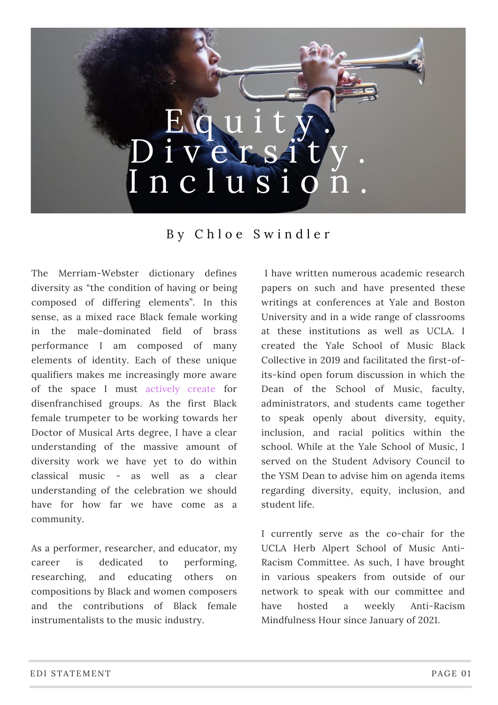## $\frac{1}{\ln |A|}$  $u$  1 t  $u$ i v e r s  $n$  c  $l$  u s  $i$

## B y C h l o e S w i n d l e r

The Merriam-Webster dictionary defines diversity as "the condition of having or being composed of differing elements". In this sense, as a mixed race Black female working in the male-dominated field of brass performance I am composed of many elements of identity. Each of these unique qualifiers makes me increasingly more aware of the space I must actively create for disenfranchised groups. As the first Black female trumpeter to be working towards her Doctor of Musical Arts degree, I have a clear understanding of the massive amount of diversity work we have yet to do within classical music - as well as a clear understanding of the celebration we should have for how far we have come as a community.

As a performer, researcher, and educator, my career is dedicated to performing, researching, and educating others on compositions by Black and women composers and the contributions of Black female instrumentalists to the music industry.

I have written numerous academic research papers on such and have presented these writings at conferences at Yale and Boston University and in a wide range of classrooms at these institutions as well as UCLA. I created the Yale School of Music Black Collective in 2019 and facilitated the first-ofits-kind open forum discussion in which the Dean of the School of Music, faculty, administrators, and students came together to speak openly about diversity, equity, inclusion, and racial politics within the school. While at the Yale School of Music, I served on the Student Advisory Council to the YSM Dean to advise him on agenda items regarding diversity, equity, inclusion, and student life.

I currently serve as the co-chair for the UCLA Herb Alpert School of Music Anti-Racism Committee. As such, I have brought in various speakers from outside of our network to speak with our committee and have hosted a weekly Anti-Racism Mindfulness Hour since January of 2021.